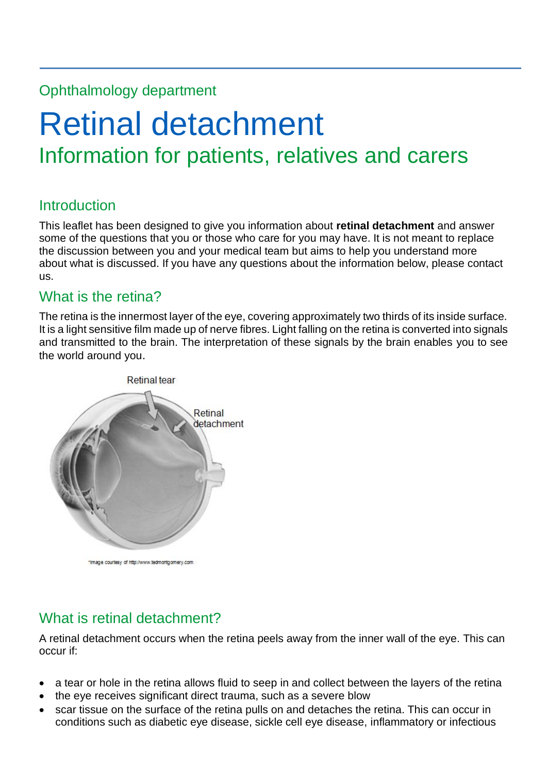## Ophthalmology department

# Retinal detachment Information for patients, relatives and carers

## **Introduction**

This leaflet has been designed to give you information about **retinal detachment** and answer some of the questions that you or those who care for you may have. It is not meant to replace the discussion between you and your medical team but aims to help you understand more about what is discussed. If you have any questions about the information below, please contact us.

## What is the retina?

The retina is the innermost layer of the eye, covering approximately two thirds of its inside surface. It is a light sensitive film made up of nerve fibres. Light falling on the retina is converted into signals and transmitted to the brain. The interpretation of these signals by the brain enables you to see the world around you.



fimage courtesy of http://www.tedmontgomery.com

# What is retinal detachment?

A retinal detachment occurs when the retina peels away from the inner wall of the eye. This can occur if:

- a tear or hole in the retina allows fluid to seep in and collect between the layers of the retina
- the eye receives significant direct trauma, such as a severe blow
- scar tissue on the surface of the retina pulls on and detaches the retina. This can occur in conditions such as diabetic eye disease, sickle cell eye disease, inflammatory or infectious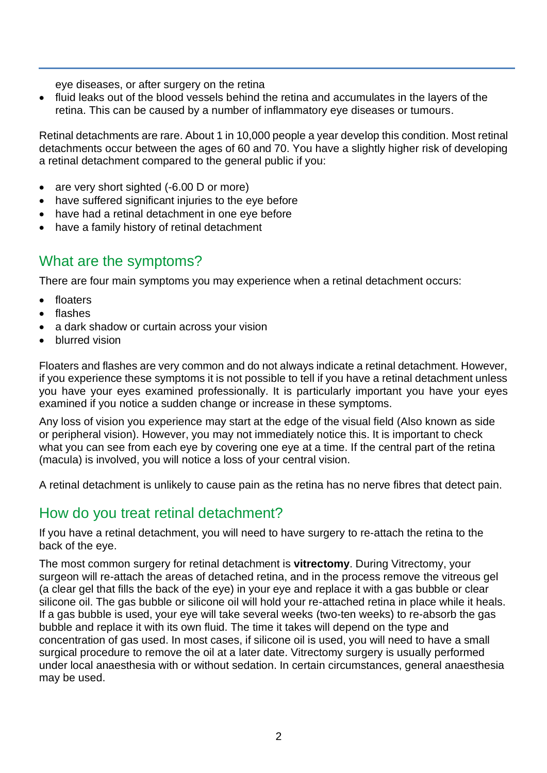eye diseases, or after surgery on the retina

• fluid leaks out of the blood vessels behind the retina and accumulates in the layers of the retina. This can be caused by a number of inflammatory eye diseases or tumours.

Retinal detachments are rare. About 1 in 10,000 people a year develop this condition. Most retinal detachments occur between the ages of 60 and 70. You have a slightly higher risk of developing a retinal detachment compared to the general public if you:

- are very short sighted (-6.00 D or more)
- have suffered significant injuries to the eye before
- have had a retinal detachment in one eye before
- have a family history of retinal detachment

#### What are the symptoms?

There are four main symptoms you may experience when a retinal detachment occurs:

- floaters
- flashes
- a dark shadow or curtain across your vision
- blurred vision

Floaters and flashes are very common and do not always indicate a retinal detachment. However, if you experience these symptoms it is not possible to tell if you have a retinal detachment unless you have your eyes examined professionally. It is particularly important you have your eyes examined if you notice a sudden change or increase in these symptoms.

Any loss of vision you experience may start at the edge of the visual field (Also known as side or peripheral vision). However, you may not immediately notice this. It is important to check what you can see from each eye by covering one eye at a time. If the central part of the retina (macula) is involved, you will notice a loss of your central vision.

A retinal detachment is unlikely to cause pain as the retina has no nerve fibres that detect pain.

#### How do you treat retinal detachment?

If you have a retinal detachment, you will need to have surgery to re-attach the retina to the back of the eye.

The most common surgery for retinal detachment is **vitrectomy**. During Vitrectomy, your surgeon will re-attach the areas of detached retina, and in the process remove the vitreous gel (a clear gel that fills the back of the eye) in your eye and replace it with a gas bubble or clear silicone oil. The gas bubble or silicone oil will hold your re-attached retina in place while it heals. If a gas bubble is used, your eye will take several weeks (two-ten weeks) to re-absorb the gas bubble and replace it with its own fluid. The time it takes will depend on the type and concentration of gas used. In most cases, if silicone oil is used, you will need to have a small surgical procedure to remove the oil at a later date. Vitrectomy surgery is usually performed under local anaesthesia with or without sedation. In certain circumstances, general anaesthesia may be used.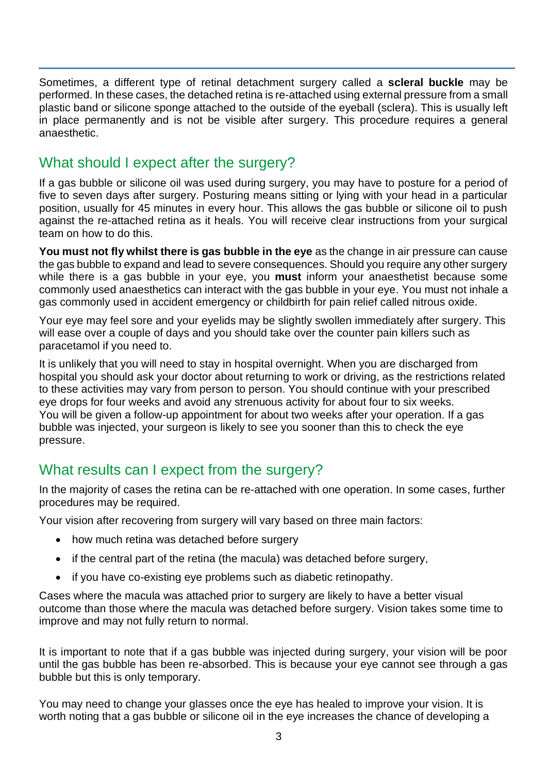Sometimes, a different type of retinal detachment surgery called a **scleral buckle** may be performed. In these cases, the detached retina is re-attached using external pressure from a small plastic band or silicone sponge attached to the outside of the eyeball (sclera). This is usually left in place permanently and is not be visible after surgery. This procedure requires a general anaesthetic.

## What should I expect after the surgery?

If a gas bubble or silicone oil was used during surgery, you may have to posture for a period of five to seven days after surgery. Posturing means sitting or lying with your head in a particular position, usually for 45 minutes in every hour. This allows the gas bubble or silicone oil to push against the re-attached retina as it heals. You will receive clear instructions from your surgical team on how to do this.

**You must not fly whilst there is gas bubble in the eye** as the change in air pressure can cause the gas bubble to expand and lead to severe consequences. Should you require any other surgery while there is a gas bubble in your eye, you **must** inform your anaesthetist because some commonly used anaesthetics can interact with the gas bubble in your eye. You must not inhale a gas commonly used in accident emergency or childbirth for pain relief called nitrous oxide.

Your eye may feel sore and your eyelids may be slightly swollen immediately after surgery. This will ease over a couple of days and you should take over the counter pain killers such as paracetamol if you need to.

It is unlikely that you will need to stay in hospital overnight. When you are discharged from hospital you should ask your doctor about returning to work or driving, as the restrictions related to these activities may vary from person to person. You should continue with your prescribed eye drops for four weeks and avoid any strenuous activity for about four to six weeks. You will be given a follow-up appointment for about two weeks after your operation. If a gas bubble was injected, your surgeon is likely to see you sooner than this to check the eye pressure.

## What results can I expect from the surgery?

In the majority of cases the retina can be re-attached with one operation. In some cases, further procedures may be required.

Your vision after recovering from surgery will vary based on three main factors:

- how much retina was detached before surgery
- if the central part of the retina (the macula) was detached before surgery,
- if you have co-existing eye problems such as diabetic retinopathy.

Cases where the macula was attached prior to surgery are likely to have a better visual outcome than those where the macula was detached before surgery. Vision takes some time to improve and may not fully return to normal.

It is important to note that if a gas bubble was injected during surgery, your vision will be poor until the gas bubble has been re-absorbed. This is because your eye cannot see through a gas bubble but this is only temporary.

You may need to change your glasses once the eye has healed to improve your vision. It is worth noting that a gas bubble or silicone oil in the eye increases the chance of developing a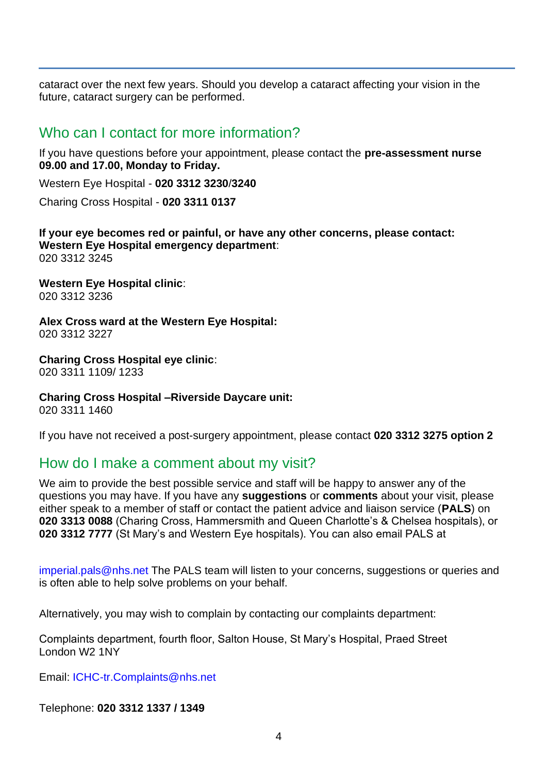cataract over the next few years. Should you develop a cataract affecting your vision in the future, cataract surgery can be performed.

#### Who can I contact for more information?

If you have questions before your appointment, please contact the **pre-assessment nurse 09.00 and 17.00, Monday to Friday.**

Western Eye Hospital - **020 3312 3230**/**3240**

Charing Cross Hospital - **020 3311 0137** 

**If your eye becomes red or painful, or have any other concerns, please contact: Western Eye Hospital emergency department**: 020 3312 3245

**Western Eye Hospital clinic**: 020 3312 3236

**Alex Cross ward at the Western Eye Hospital:** 020 3312 3227

**Charing Cross Hospital eye clinic**: 020 3311 1109/ 1233

**Charing Cross Hospital –Riverside Daycare unit:**

020 3311 1460

If you have not received a post-surgery appointment, please contact **020 3312 3275 option 2**

#### How do I make a comment about my visit?

We aim to provide the best possible service and staff will be happy to answer any of the questions you may have. If you have any **suggestions** or **comments** about your visit, please either speak to a member of staff or contact the patient advice and liaison service (**PALS**) on **020 3313 0088** (Charing Cross, Hammersmith and Queen Charlotte's & Chelsea hospitals), or **020 3312 7777** (St Mary's and Western Eye hospitals). You can also email PALS at

[imperial.pals@nhs.net](mailto:imperial.pals@nhs.net) The PALS team will listen to your concerns, suggestions or queries and is often able to help solve problems on your behalf.

Alternatively, you may wish to complain by contacting our complaints department:

Complaints department, fourth floor, Salton House, St Mary's Hospital, Praed Street London W2 1NY

Email: [ICHC-tr.Complaints@nhs.net](mailto:ICHC-tr.Complaints@nhs.net)

Telephone: **020 3312 1337 / 1349**